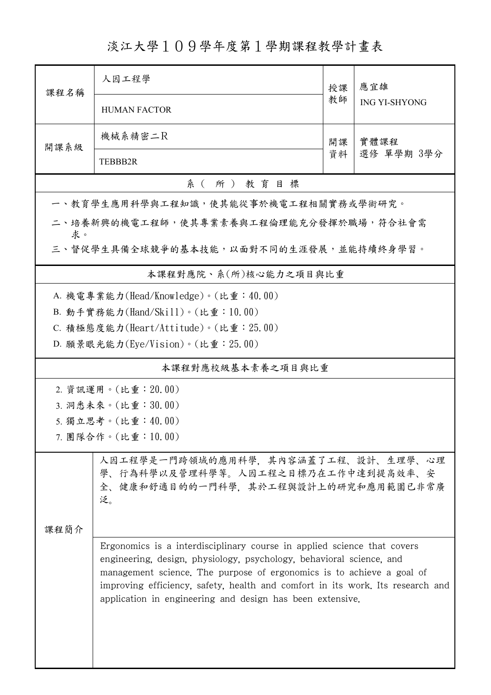淡江大學109學年度第1學期課程教學計畫表

| 課程名稱                                                                                                                   | 人因工程學                                                                                                                                                                                                                                                                                                                                                                   | 授課       | 應宜雄                  |  |  |  |  |  |
|------------------------------------------------------------------------------------------------------------------------|-------------------------------------------------------------------------------------------------------------------------------------------------------------------------------------------------------------------------------------------------------------------------------------------------------------------------------------------------------------------------|----------|----------------------|--|--|--|--|--|
|                                                                                                                        | <b>HUMAN FACTOR</b>                                                                                                                                                                                                                                                                                                                                                     |          | <b>ING YI-SHYONG</b> |  |  |  |  |  |
| 開課系級                                                                                                                   | 機械系精密二R                                                                                                                                                                                                                                                                                                                                                                 | 開課<br>資料 | 實體課程<br>選修 單學期 3學分   |  |  |  |  |  |
|                                                                                                                        | TEBBB2R                                                                                                                                                                                                                                                                                                                                                                 |          |                      |  |  |  |  |  |
|                                                                                                                        | 系(所)教育目標                                                                                                                                                                                                                                                                                                                                                                |          |                      |  |  |  |  |  |
|                                                                                                                        | 一、教育學生應用科學與工程知識,使其能從事於機電工程相關實務或學術研究。                                                                                                                                                                                                                                                                                                                                    |          |                      |  |  |  |  |  |
| 求。                                                                                                                     | 二、培養新興的機電工程師,使其專業素養與工程倫理能充分發揮於職場,符合社會需                                                                                                                                                                                                                                                                                                                                  |          |                      |  |  |  |  |  |
| 三、督促學生具備全球競爭的基本技能,以面對不同的生涯發展,並能持續終身學習。                                                                                 |                                                                                                                                                                                                                                                                                                                                                                         |          |                      |  |  |  |  |  |
|                                                                                                                        | 本課程對應院、系(所)核心能力之項目與比重                                                                                                                                                                                                                                                                                                                                                   |          |                      |  |  |  |  |  |
|                                                                                                                        | A. 機電專業能力(Head/Knowledge)。(比重:40.00)                                                                                                                                                                                                                                                                                                                                    |          |                      |  |  |  |  |  |
|                                                                                                                        | B. 動手實務能力(Hand/Skill)。(比重: 10.00)                                                                                                                                                                                                                                                                                                                                       |          |                      |  |  |  |  |  |
|                                                                                                                        | C. 積極態度能力(Heart/Attitude)。(比重: 25.00)                                                                                                                                                                                                                                                                                                                                   |          |                      |  |  |  |  |  |
|                                                                                                                        | D. 願景眼光能力(Eye/Vision)。(比重: 25.00)                                                                                                                                                                                                                                                                                                                                       |          |                      |  |  |  |  |  |
| 本課程對應校級基本素養之項目與比重                                                                                                      |                                                                                                                                                                                                                                                                                                                                                                         |          |                      |  |  |  |  |  |
|                                                                                                                        | 2. 資訊運用。(比重: 20.00)                                                                                                                                                                                                                                                                                                                                                     |          |                      |  |  |  |  |  |
| 3. 洞悉未來。(比重:30.00)                                                                                                     |                                                                                                                                                                                                                                                                                                                                                                         |          |                      |  |  |  |  |  |
|                                                                                                                        | 5. 獨立思考。(比重:40.00)                                                                                                                                                                                                                                                                                                                                                      |          |                      |  |  |  |  |  |
|                                                                                                                        | 7. 團隊合作。(比重:10.00)                                                                                                                                                                                                                                                                                                                                                      |          |                      |  |  |  |  |  |
| 人因工程學是一門跨領域的應用科學,其內容涵蓋了工程、設計、生理學、心理<br>學、行為科學以及管理科學等。人因工程之目標乃在工作中達到提高效率、安<br>全、健康和舒適目的的一門科學,其於工程與設計上的研究和應用範圍已非常廣<br>泛。 |                                                                                                                                                                                                                                                                                                                                                                         |          |                      |  |  |  |  |  |
| 课程简介                                                                                                                   | Ergonomics is a interdisciplinary course in applied science that covers<br>engineering, design, physiology, psychology, behavioral science, and<br>management science. The purpose of ergonomics is to achieve a goal of<br>improving efficiency, safety, health and comfort in its work. Its research and<br>application in engineering and design has been extensive. |          |                      |  |  |  |  |  |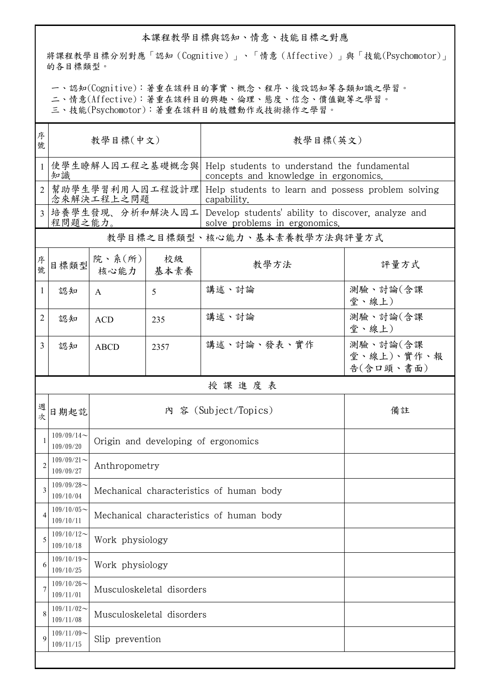## 本課程教學目標與認知、情意、技能目標之對應

將課程教學目標分別對應「認知(Cognitive)」、「情意(Affective)」與「技能(Psychomotor)」 的各目標類型。

一、認知(Cognitive):著重在該科目的事實、概念、程序、後設認知等各類知識之學習。

二、情意(Affective):著重在該科目的興趣、倫理、態度、信念、價值觀等之學習。

三、技能(Psychomotor):著重在該科目的肢體動作或技術操作之學習。

| 序<br>號         | 教學目標(中文)                      |                                          |              | 教學目標(英文)                                                                                             |                                                                                      |  |  |  |
|----------------|-------------------------------|------------------------------------------|--------------|------------------------------------------------------------------------------------------------------|--------------------------------------------------------------------------------------|--|--|--|
|                | 知識                            | 使學生瞭解人因工程之基礎概念與                          |              |                                                                                                      | Help students to understand the fundamental<br>concepts and knowledge in ergonomics. |  |  |  |
|                | 幫助學生學習利用人因工程設計理<br>念來解決工程上之問題 |                                          |              | Help students to learn and possess problem solving<br>capability.                                    |                                                                                      |  |  |  |
| $\overline{3}$ | 程問題之能力。                       |                                          |              | 培養學生發現、分析和解決人因工  Develop students' ability to discover, analyze and<br>solve problems in ergonomics. |                                                                                      |  |  |  |
|                | 教學目標之目標類型、核心能力、基本素養教學方法與評量方式  |                                          |              |                                                                                                      |                                                                                      |  |  |  |
| 序號             | 目標類型                          | 院、系 $(\hbox{\tt m})$<br>核心能力             | 校級<br>  基本素養 | 教學方法                                                                                                 | 評量方式                                                                                 |  |  |  |
| 1              | 認知                            | A                                        | 5            | 講述、討論                                                                                                | 測驗、討論(含課<br>堂、線上)                                                                    |  |  |  |
| 2              | 認知                            | <b>ACD</b>                               | 235          | 講述、討論                                                                                                | 測驗、討論(含課<br>堂、線上)                                                                    |  |  |  |
| 3              | 認知                            | <b>ABCD</b>                              | 2357         | 講述、討論、發表、實作                                                                                          | 測驗、討論(含課<br>堂、線上)、實作、報<br>告(含口頭、書面)                                                  |  |  |  |
|                |                               |                                          |              | 授課進度表                                                                                                |                                                                                      |  |  |  |
| 週<br>欤         | 日期起訖                          |                                          |              | 內 容 (Subject/Topics)                                                                                 | 備註                                                                                   |  |  |  |
| 1              | $109/09/14$ ~<br>109/09/20    | Origin and developing of ergonomics      |              |                                                                                                      |                                                                                      |  |  |  |
| $\overline{2}$ | $109/09/21$ ~<br>109/09/27    | Anthropometry                            |              |                                                                                                      |                                                                                      |  |  |  |
|                | $109/09/28$ ~<br>109/10/04    | Mechanical characteristics of human body |              |                                                                                                      |                                                                                      |  |  |  |
| 4              | $109/10/05$ ~<br>109/10/11    | Mechanical characteristics of human body |              |                                                                                                      |                                                                                      |  |  |  |
| 5              | $109/10/12$ ~<br>109/10/18    | Work physiology                          |              |                                                                                                      |                                                                                      |  |  |  |
| 6              | $109/10/19$ ~<br>109/10/25    | Work physiology                          |              |                                                                                                      |                                                                                      |  |  |  |
| 7              | $109/10/26$ ~<br>109/11/01    | Musculoskeletal disorders                |              |                                                                                                      |                                                                                      |  |  |  |
| 8              | $109/11/02$ ~<br>109/11/08    | Musculoskeletal disorders                |              |                                                                                                      |                                                                                      |  |  |  |
| 9              | $109/11/09$ ~<br>109/11/15    | Slip prevention                          |              |                                                                                                      |                                                                                      |  |  |  |
|                |                               |                                          |              |                                                                                                      |                                                                                      |  |  |  |